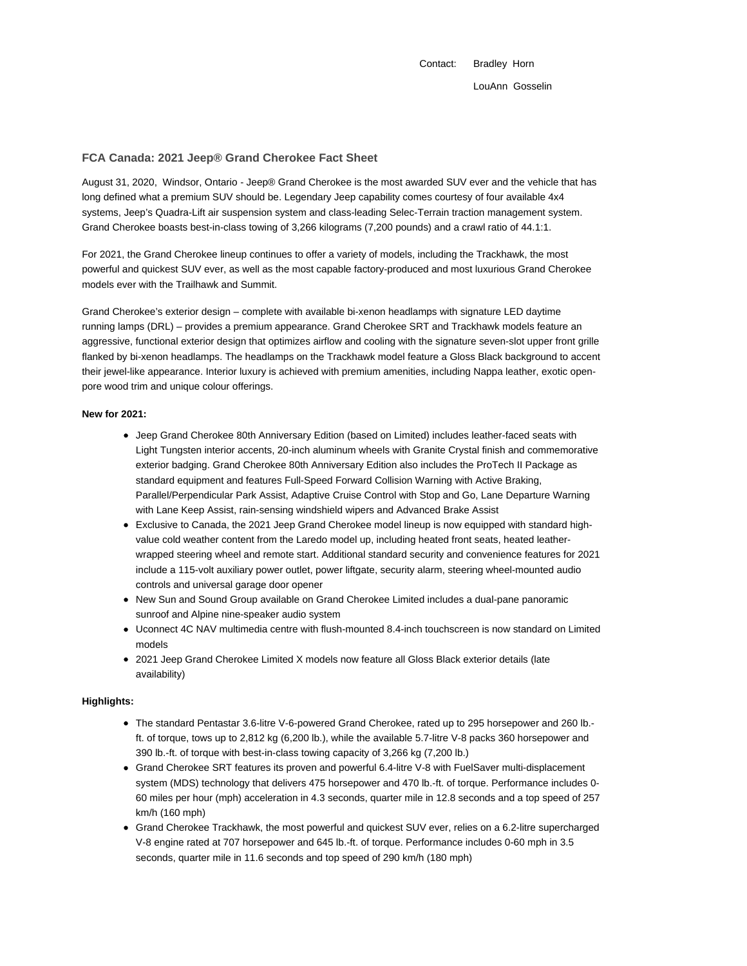Contact: Bradley Horn LouAnn Gosselin

### **FCA Canada: 2021 Jeep® Grand Cherokee Fact Sheet**

August 31, 2020, Windsor, Ontario - Jeep® Grand Cherokee is the most awarded SUV ever and the vehicle that has long defined what a premium SUV should be. Legendary Jeep capability comes courtesy of four available 4x4 systems, Jeep's Quadra-Lift air suspension system and class-leading Selec-Terrain traction management system. Grand Cherokee boasts best-in-class towing of 3,266 kilograms (7,200 pounds) and a crawl ratio of 44.1:1.

For 2021, the Grand Cherokee lineup continues to offer a variety of models, including the Trackhawk, the most powerful and quickest SUV ever, as well as the most capable factory-produced and most luxurious Grand Cherokee models ever with the Trailhawk and Summit.

Grand Cherokee's exterior design – complete with available bi-xenon headlamps with signature LED daytime running lamps (DRL) – provides a premium appearance. Grand Cherokee SRT and Trackhawk models feature an aggressive, functional exterior design that optimizes airflow and cooling with the signature seven-slot upper front grille flanked by bi-xenon headlamps. The headlamps on the Trackhawk model feature a Gloss Black background to accent their jewel-like appearance. Interior luxury is achieved with premium amenities, including Nappa leather, exotic openpore wood trim and unique colour offerings.

#### **New for 2021:**

- Jeep Grand Cherokee 80th Anniversary Edition (based on Limited) includes leather-faced seats with Light Tungsten interior accents, 20-inch aluminum wheels with Granite Crystal finish and commemorative exterior badging. Grand Cherokee 80th Anniversary Edition also includes the ProTech II Package as standard equipment and features Full-Speed Forward Collision Warning with Active Braking, Parallel/Perpendicular Park Assist, Adaptive Cruise Control with Stop and Go, Lane Departure Warning with Lane Keep Assist, rain-sensing windshield wipers and Advanced Brake Assist
- Exclusive to Canada, the 2021 Jeep Grand Cherokee model lineup is now equipped with standard highvalue cold weather content from the Laredo model up, including heated front seats, heated leatherwrapped steering wheel and remote start. Additional standard security and convenience features for 2021 include a 115-volt auxiliary power outlet, power liftgate, security alarm, steering wheel-mounted audio controls and universal garage door opener
- New Sun and Sound Group available on Grand Cherokee Limited includes a dual-pane panoramic sunroof and Alpine nine-speaker audio system
- Uconnect 4C NAV multimedia centre with flush-mounted 8.4-inch touchscreen is now standard on Limited models
- 2021 Jeep Grand Cherokee Limited X models now feature all Gloss Black exterior details (late availability)

#### **Highlights:**

- The standard Pentastar 3.6-litre V-6-powered Grand Cherokee, rated up to 295 horsepower and 260 lb. ft. of torque, tows up to 2,812 kg (6,200 lb.), while the available 5.7-litre V-8 packs 360 horsepower and 390 lb.-ft. of torque with best-in-class towing capacity of 3,266 kg (7,200 lb.)
- Grand Cherokee SRT features its proven and powerful 6.4-litre V-8 with FuelSaver multi-displacement system (MDS) technology that delivers 475 horsepower and 470 lb.-ft. of torque. Performance includes 0- 60 miles per hour (mph) acceleration in 4.3 seconds, quarter mile in 12.8 seconds and a top speed of 257 km/h (160 mph)
- Grand Cherokee Trackhawk, the most powerful and quickest SUV ever, relies on a 6.2-litre supercharged V-8 engine rated at 707 horsepower and 645 lb.-ft. of torque. Performance includes 0-60 mph in 3.5 seconds, quarter mile in 11.6 seconds and top speed of 290 km/h (180 mph)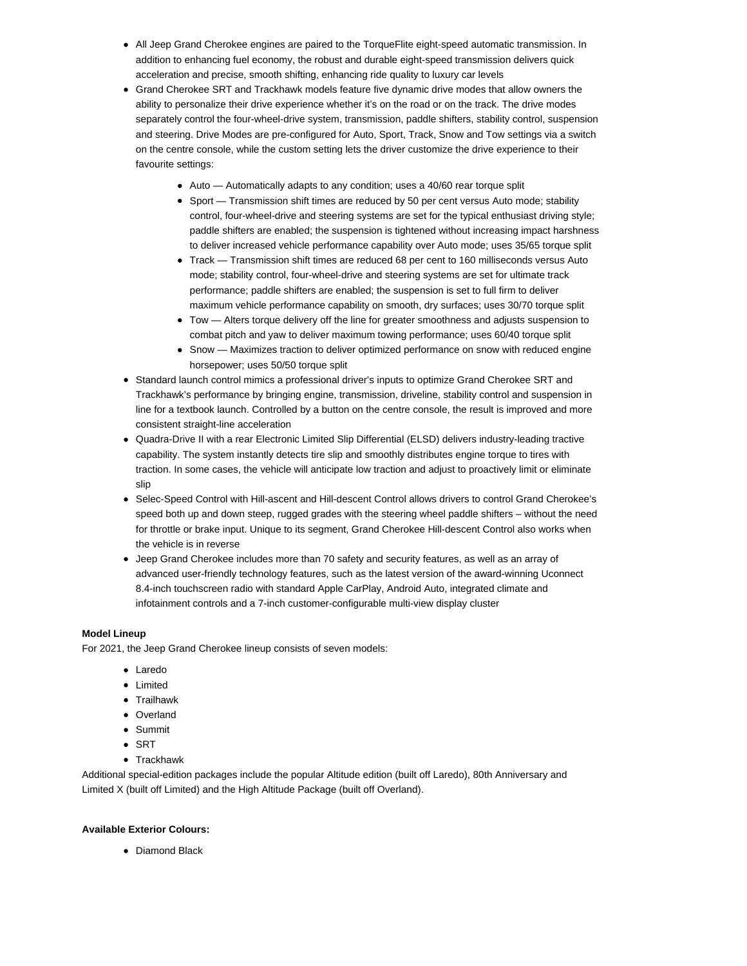- All Jeep Grand Cherokee engines are paired to the TorqueFlite eight-speed automatic transmission. In addition to enhancing fuel economy, the robust and durable eight-speed transmission delivers quick acceleration and precise, smooth shifting, enhancing ride quality to luxury car levels
- Grand Cherokee SRT and Trackhawk models feature five dynamic drive modes that allow owners the ability to personalize their drive experience whether it's on the road or on the track. The drive modes separately control the four-wheel-drive system, transmission, paddle shifters, stability control, suspension and steering. Drive Modes are pre-configured for Auto, Sport, Track, Snow and Tow settings via a switch on the centre console, while the custom setting lets the driver customize the drive experience to their favourite settings:
	- Auto Automatically adapts to any condition; uses a 40/60 rear torque split
	- Sport Transmission shift times are reduced by 50 per cent versus Auto mode; stability control, four-wheel-drive and steering systems are set for the typical enthusiast driving style; paddle shifters are enabled; the suspension is tightened without increasing impact harshness to deliver increased vehicle performance capability over Auto mode; uses 35/65 torque split
	- Track Transmission shift times are reduced 68 per cent to 160 milliseconds versus Auto mode; stability control, four-wheel-drive and steering systems are set for ultimate track performance; paddle shifters are enabled; the suspension is set to full firm to deliver maximum vehicle performance capability on smooth, dry surfaces; uses 30/70 torque split
	- Tow Alters torque delivery off the line for greater smoothness and adjusts suspension to combat pitch and yaw to deliver maximum towing performance; uses 60/40 torque split
	- Snow Maximizes traction to deliver optimized performance on snow with reduced engine horsepower; uses 50/50 torque split
- Standard launch control mimics a professional driver's inputs to optimize Grand Cherokee SRT and Trackhawk's performance by bringing engine, transmission, driveline, stability control and suspension in line for a textbook launch. Controlled by a button on the centre console, the result is improved and more consistent straight-line acceleration
- Quadra-Drive II with a rear Electronic Limited Slip Differential (ELSD) delivers industry-leading tractive capability. The system instantly detects tire slip and smoothly distributes engine torque to tires with traction. In some cases, the vehicle will anticipate low traction and adjust to proactively limit or eliminate slip
- Selec-Speed Control with Hill-ascent and Hill-descent Control allows drivers to control Grand Cherokee's  $\bullet$ speed both up and down steep, rugged grades with the steering wheel paddle shifters – without the need for throttle or brake input. Unique to its segment, Grand Cherokee Hill-descent Control also works when the vehicle is in reverse
- Jeep Grand Cherokee includes more than 70 safety and security features, as well as an array of advanced user-friendly technology features, such as the latest version of the award-winning Uconnect 8.4-inch touchscreen radio with standard Apple CarPlay, Android Auto, integrated climate and infotainment controls and a 7-inch customer-configurable multi-view display cluster

#### **Model Lineup**

For 2021, the Jeep Grand Cherokee lineup consists of seven models:

- Laredo
- Limited
- Trailhawk
- Overland
- Summit
- $\bullet$  SRT
- Trackhawk

Additional special-edition packages include the popular Altitude edition (built off Laredo), 80th Anniversary and Limited X (built off Limited) and the High Altitude Package (built off Overland).

#### **Available Exterior Colours:**

• Diamond Black